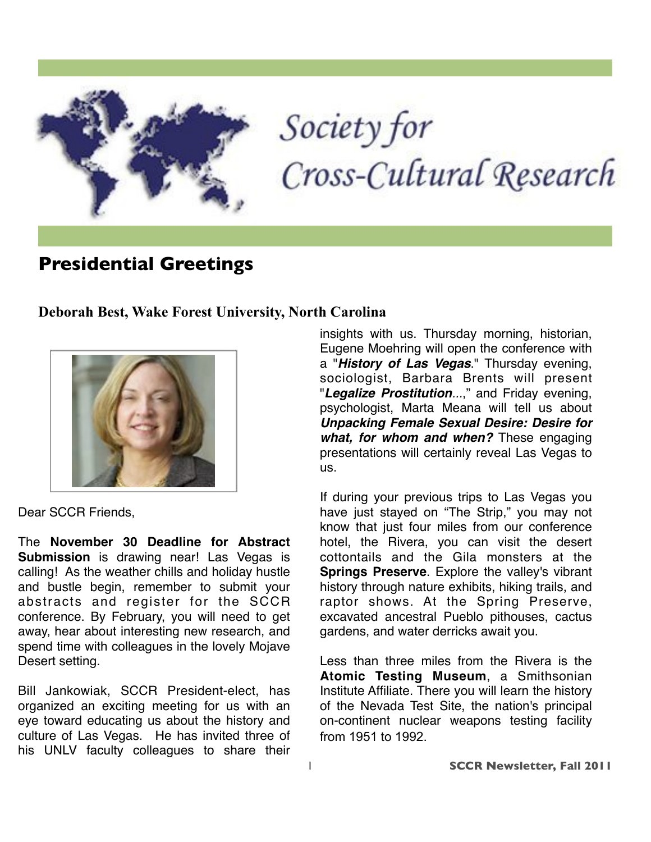

# Society for Cross-Cultural Research

## **Presidential Greetings**

**Deborah Best, Wake Forest University, North Carolina**



Dear SCCR Friends,

The **November 30 Deadline for Abstract Submission** is drawing near! Las Vegas is calling! As the weather chills and holiday hustle and bustle begin, remember to submit your abstracts and register for the SCCR conference. By February, you will need to get away, hear about interesting new research, and spend time with colleagues in the lovely Mojave Desert setting.

Bill Jankowiak, SCCR President-elect, has organized an exciting meeting for us with an eye toward educating us about the history and culture of Las Vegas. He has invited three of his UNLV faculty colleagues to share their insights with us. Thursday morning, historian, Eugene Moehring will open the conference with a "*History of Las Vegas*." Thursday evening, sociologist, Barbara Brents will present "*Legalize Prostitution...*," and Friday evening, psychologist, Marta Meana will tell us about *Unpacking Female Sexual Desire: Desire for what, for whom and when?* These engaging presentations will certainly reveal Las Vegas to us.

If during your previous trips to Las Vegas you have just stayed on "The Strip," you may not know that just four miles from our conference hotel, the Rivera, you can visit the desert cottontails and the Gila monsters at the **Springs Preserve**. Explore the valley's vibrant history through nature exhibits, hiking trails, and raptor shows. At the Spring Preserve, excavated ancestral Pueblo pithouses, cactus gardens, and water derricks await you.

Less than three miles from the Rivera is the **Atomic Testing Museum**, a Smithsonian Institute Affiliate. There you will learn the history of the Nevada Test Site, the nation's principal on-continent nuclear weapons testing facility from 1951 to 1992.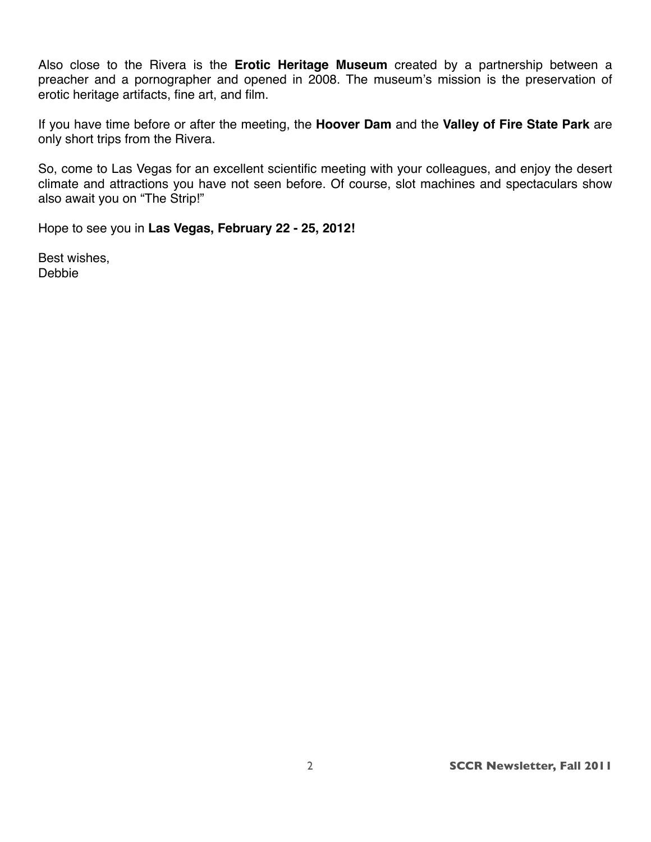Also close to the Rivera is the **Erotic Heritage Museum** created by a partnership between a preacher and a pornographer and opened in 2008. The museum's mission is the preservation of erotic heritage artifacts, fine art, and film.

If you have time before or after the meeting, the **Hoover Dam** and the **Valley of Fire State Park** are only short trips from the Rivera.

So, come to Las Vegas for an excellent scientific meeting with your colleagues, and enjoy the desert climate and attractions you have not seen before. Of course, slot machines and spectaculars show also await you on "The Strip!"

Hope to see you in **Las Vegas, February 22 - 25, 2012!** 

Best wishes, Debbie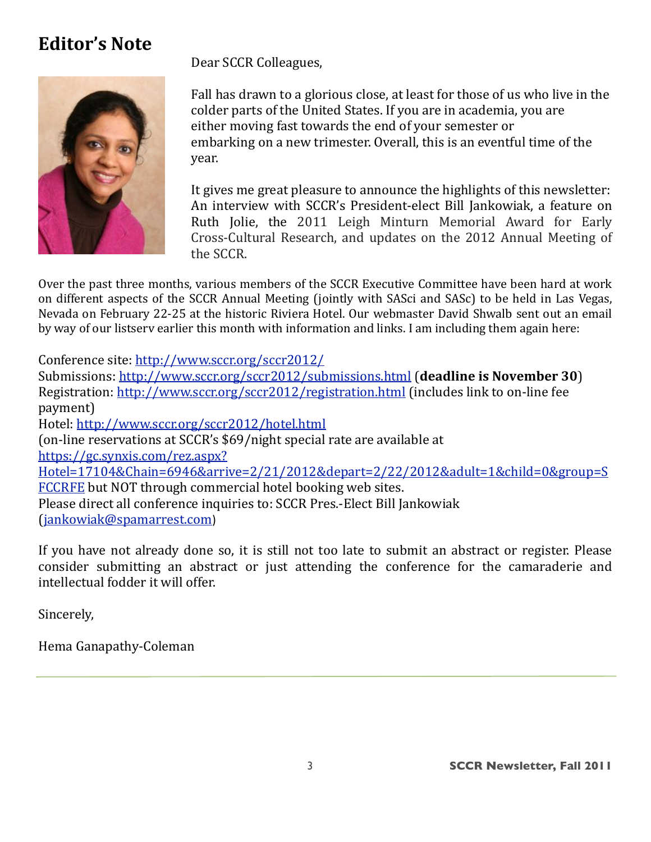## **Editor's Note**



Dear SCCR Colleagues,

Fall has drawn to a glorious close, at least for those of us who live in the colder parts of the United States. If you are in academia, you are either moving fast towards the end of your semester or embarking on a new trimester. Overall, this is an eventful time of the year.

It gives me great pleasure to announce the highlights of this newsletter: An interview with SCCR's President-elect Bill Jankowiak, a feature on Ruth Jolie, the 2011 Leigh Minturn Memorial Award for Early Cross-Cultural Research, and updates on the 2012 Annual Meeting of the SCCR.

Over the past three months, various members of the SCCR Executive Committee have been hard at work on different aspects of the SCCR Annual Meeting (jointly with SASci and SASc) to be held in Las Vegas, Nevada on February 22-25 at the historic Riviera Hotel. Our webmaster David Shwalb sent out an email by way of our listsery earlier this month with information and links. I am including them again here:

Conference site: http://www.sccr.org/sccr2012/

Submissions: http://www.sccr.org/sccr2012/submissions.html (deadline is November 30) Registration: http://www.sccr.org/sccr2012/registration.html (includes link to on-line fee payment) Hotel: http://www.sccr.org/sccr2012/hotel.html (on-line reservations at SCCR's \$69/night special rate are available at

https://gc.synxis.com/rez.aspx?

Hotel=17104&Chain=6946&arrive=2/21/2012&depart=2/22/2012&adult=1&child=0&group=S FCCRFE but NOT through commercial hotel booking web sites.

Please direct all conference inquiries to: SCCR Pres.-Elect Bill Jankowiak (jankowiak@spamarrest.com)

If you have not already done so, it is still not too late to submit an abstract or register. Please consider submitting an abstract or just attending the conference for the camaraderie and intellectual fodder it will offer.

Sincerely,

Hema Ganapathy-Coleman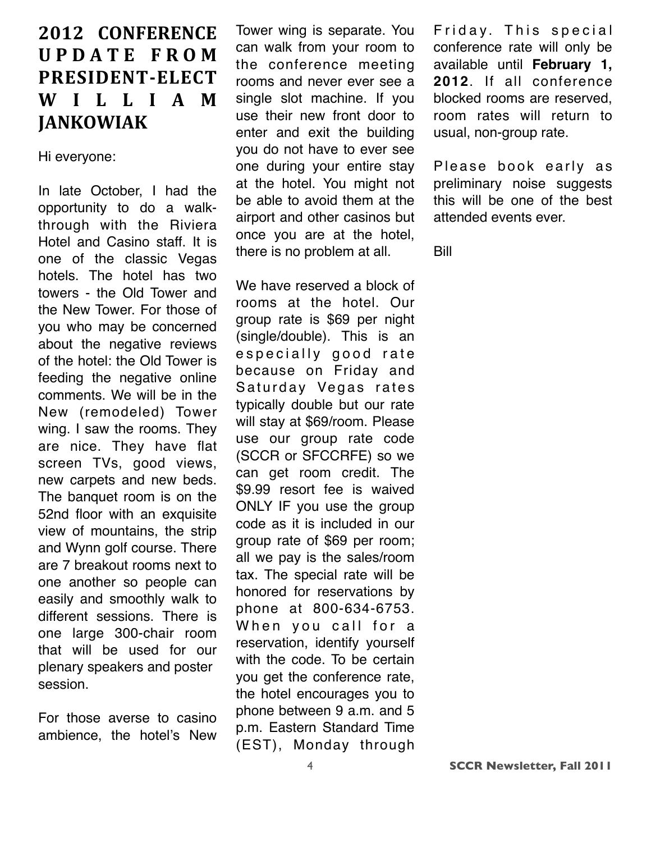## **2012 CONFERENCE UPDATE FROM**  $P$ **RESIDENT-ELECT W I L L I A M EXPANDAMER**

Hi everyone:

In late October, I had the opportunity to do a walkthrough with the Riviera Hotel and Casino staff. It is one of the classic Vegas hotels. The hotel has two towers - the Old Tower and the New Tower. For those of you who may be concerned about the negative reviews of the hotel: the Old Tower is feeding the negative online comments. We will be in the New (remodeled) Tower wing. I saw the rooms. They are nice. They have flat screen TVs, good views, new carpets and new beds. The banquet room is on the 52nd floor with an exquisite view of mountains, the strip and Wynn golf course. There are 7 breakout rooms next to one another so people can easily and smoothly walk to different sessions. There is one large 300-chair room that will be used for our plenary speakers and poster session.

For those averse to casino ambience, the hotel's New

Tower wing is separate. You can walk from your room to the conference meeting rooms and never ever see a single slot machine. If you use their new front door to enter and exit the building you do not have to ever see one during your entire stay at the hotel. You might not be able to avoid them at the airport and other casinos but once you are at the hotel, there is no problem at all.

We have reserved a block of rooms at the hotel. Our group rate is \$69 per night (single/double). This is an especially good rate because on Friday and Saturday Vegas rates typically double but our rate will stay at \$69/room. Please use our group rate code (SCCR or SFCCRFE) so we can get room credit. The \$9.99 resort fee is waived ONLY IF you use the group code as it is included in our group rate of \$69 per room; all we pay is the sales/room tax. The special rate will be honored for reservations by phone at 800-634-6753. When you call for a reservation, identify yourself with the code. To be certain you get the conference rate, the hotel encourages you to phone between 9 a.m. and 5 p.m. Eastern Standard Time (EST), Monday through

Friday. This special conference rate will only be available until **February 1, 2012**. If all conference blocked rooms are reserved, room rates will return to usual, non-group rate.

Please book early as preliminary noise suggests this will be one of the best attended events ever.

Bill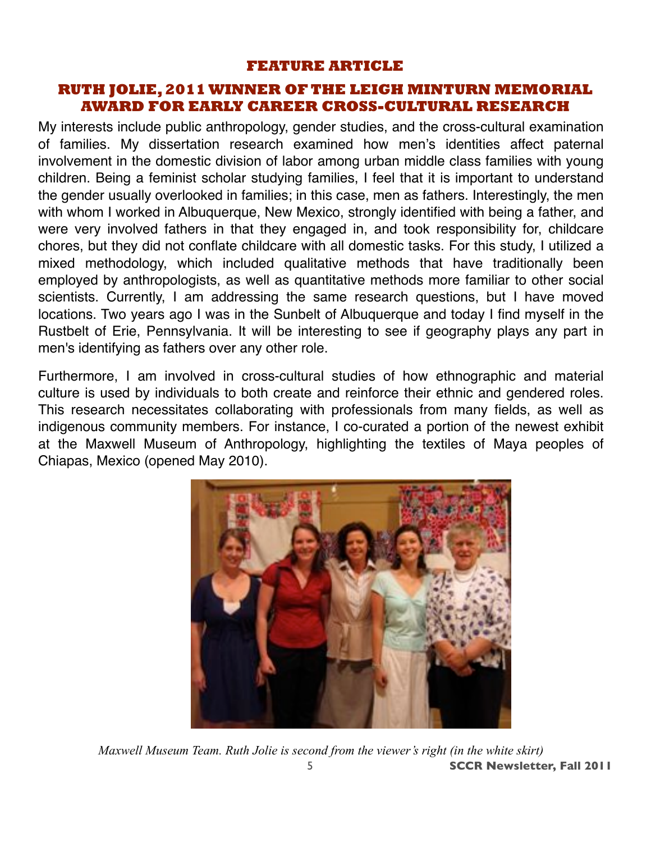#### **FEATURE ARTICLE**

#### **RUTH JOLIE, 2011 WINNER OF THE LEIGH MINTURN MEMORIAL AWARD FOR EARLY CAREER CROSS-CULTURAL RESEARCH**

My interests include public anthropology, gender studies, and the cross-cultural examination of families. My dissertation research examined how men's identities affect paternal involvement in the domestic division of labor among urban middle class families with young children. Being a feminist scholar studying families, I feel that it is important to understand the gender usually overlooked in families; in this case, men as fathers. Interestingly, the men with whom I worked in Albuquerque, New Mexico, strongly identified with being a father, and were very involved fathers in that they engaged in, and took responsibility for, childcare chores, but they did not conflate childcare with all domestic tasks. For this study, I utilized a mixed methodology, which included qualitative methods that have traditionally been employed by anthropologists, as well as quantitative methods more familiar to other social scientists. Currently, I am addressing the same research questions, but I have moved locations. Two years ago I was in the Sunbelt of Albuquerque and today I find myself in the Rustbelt of Erie, Pennsylvania. It will be interesting to see if geography plays any part in men's identifying as fathers over any other role.

Furthermore, I am involved in cross-cultural studies of how ethnographic and material culture is used by individuals to both create and reinforce their ethnic and gendered roles. This research necessitates collaborating with professionals from many fields, as well as indigenous community members. For instance, I co-curated a portion of the newest exhibit at the Maxwell Museum of Anthropology, highlighting the textiles of Maya peoples of Chiapas, Mexico (opened May 2010).



5 **SCCR Newsletter, Fall 2011** *Maxwell Museum Team. Ruth Jolie is second from the viewer's right (in the white skirt)*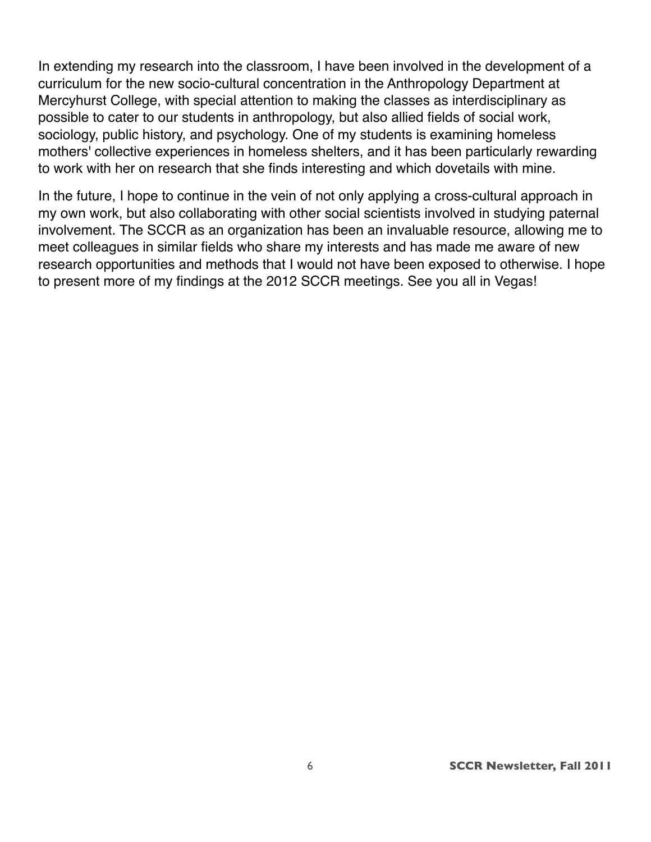In extending my research into the classroom, I have been involved in the development of a curriculum for the new socio-cultural concentration in the Anthropology Department at Mercyhurst College, with special attention to making the classes as interdisciplinary as possible to cater to our students in anthropology, but also allied fields of social work, sociology, public history, and psychology. One of my students is examining homeless mothers' collective experiences in homeless shelters, and it has been particularly rewarding to work with her on research that she finds interesting and which dovetails with mine.

In the future, I hope to continue in the vein of not only applying a cross-cultural approach in my own work, but also collaborating with other social scientists involved in studying paternal involvement. The SCCR as an organization has been an invaluable resource, allowing me to meet colleagues in similar fields who share my interests and has made me aware of new research opportunities and methods that I would not have been exposed to otherwise. I hope to present more of my findings at the 2012 SCCR meetings. See you all in Vegas!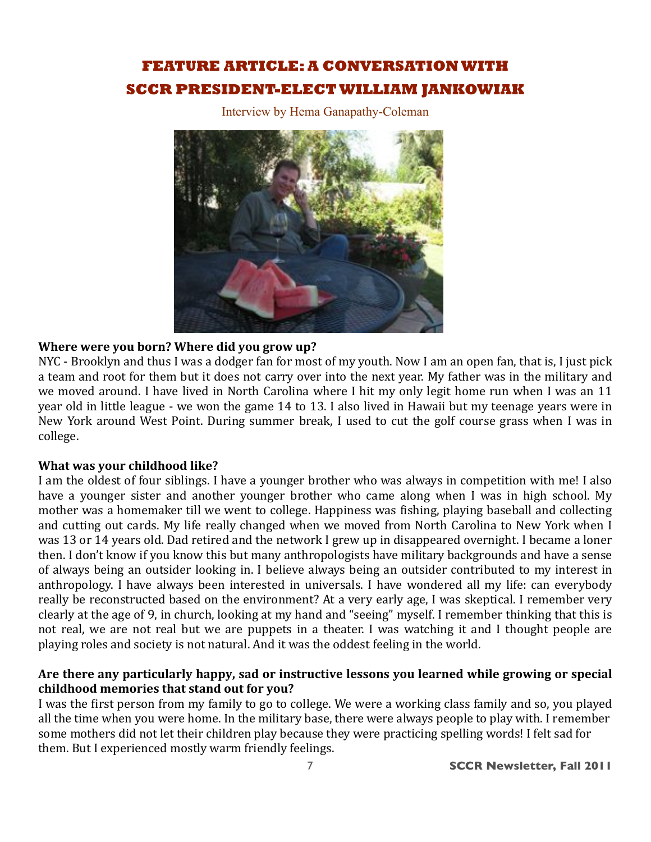### **FEATURE ARTICLE: A CONVERSATION WITH SCCR PRESIDENT-ELECT WILLIAM JANKOWIAK**

Interview by Hema Ganapathy-Coleman



#### Where were you born? Where did you grow up?

NYC - Brooklyn and thus I was a dodger fan for most of my youth. Now I am an open fan, that is, I just pick a team and root for them but it does not carry over into the next year. My father was in the military and we moved around. I have lived in North Carolina where I hit my only legit home run when I was an 11 year old in little league - we won the game 14 to 13. I also lived in Hawaii but my teenage years were in New York around West Point. During summer break, I used to cut the golf course grass when I was in college.

#### What was your childhood like?

I am the oldest of four siblings. I have a younger brother who was always in competition with me! I also have a younger sister and another younger brother who came along when I was in high school. My mother was a homemaker till we went to college. Happiness was fishing, playing baseball and collecting and cutting out cards. My life really changed when we moved from North Carolina to New York when I was 13 or 14 years old. Dad retired and the network I grew up in disappeared overnight. I became a loner then. I don't know if you know this but many anthropologists have military backgrounds and have a sense of always being an outsider looking in. I believe always being an outsider contributed to my interest in anthropology. I have always been interested in universals. I have wondered all my life: can everybody really be reconstructed based on the environment? At a very early age, I was skeptical. I remember very clearly at the age of 9, in church, looking at my hand and "seeing" myself. I remember thinking that this is not real, we are not real but we are puppets in a theater. I was watching it and I thought people are playing roles and society is not natural. And it was the oddest feeling in the world.

#### Are there any particularly happy, sad or instructive lessons you learned while growing or special childhood memories that stand out for you?

I was the first person from my family to go to college. We were a working class family and so, you played all the time when you were home. In the military base, there were always people to play with. I remember some mothers did not let their children play because they were practicing spelling words! I felt sad for them. But I experienced mostly warm friendly feelings.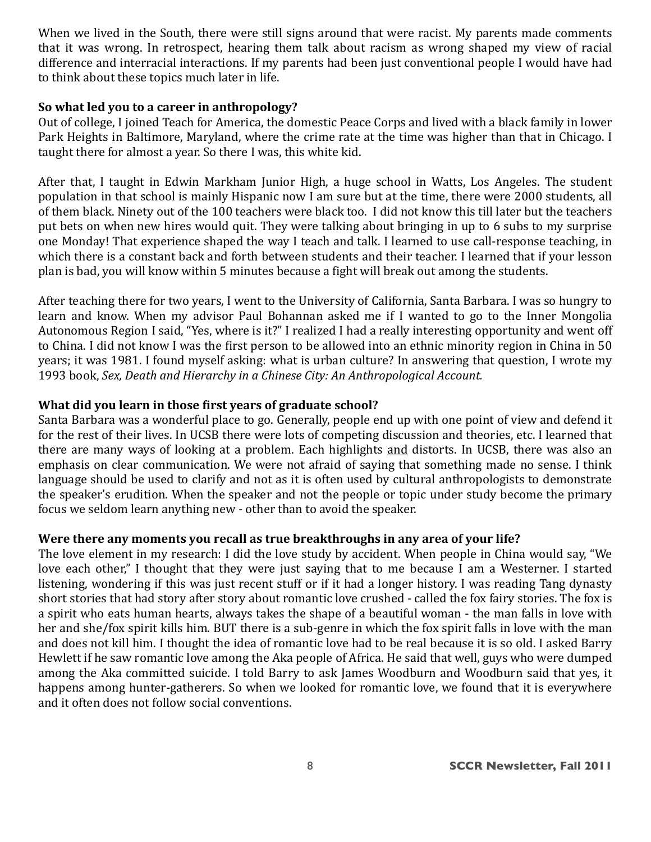When we lived in the South, there were still signs around that were racist. My parents made comments that it was wrong. In retrospect, hearing them talk about racism as wrong shaped my view of racial difference and interracial interactions. If my parents had been just conventional people I would have had to think about these topics much later in life.

#### So what led you to a career in anthropology?

Out of college, I joined Teach for America, the domestic Peace Corps and lived with a black family in lower Park Heights in Baltimore, Maryland, where the crime rate at the time was higher than that in Chicago. I taught there for almost a year. So there I was, this white kid.

After that, I taught in Edwin Markham Junior High, a huge school in Watts, Los Angeles. The student population in that school is mainly Hispanic now I am sure but at the time, there were 2000 students, all of them black. Ninety out of the 100 teachers were black too. I did not know this till later but the teachers put bets on when new hires would quit. They were talking about bringing in up to 6 subs to my surprise one Monday! That experience shaped the way I teach and talk. I learned to use call-response teaching, in which there is a constant back and forth between students and their teacher. I learned that if your lesson plan is bad, you will know within 5 minutes because a fight will break out among the students.

After teaching there for two years, I went to the University of California, Santa Barbara. I was so hungry to learn and know. When my advisor Paul Bohannan asked me if I wanted to go to the Inner Mongolia Autonomous Region I said, "Yes, where is it?" I realized I had a really interesting opportunity and went off to China. I did not know I was the first person to be allowed into an ethnic minority region in China in 50 years; it was 1981. I found myself asking: what is urban culture? In answering that question, I wrote my 1993 book, Sex, Death and Hierarchy in a Chinese City: An Anthropological Account.

#### What did you learn in those first years of graduate school?

Santa Barbara was a wonderful place to go. Generally, people end up with one point of view and defend it for the rest of their lives. In UCSB there were lots of competing discussion and theories, etc. I learned that there are many ways of looking at a problem. Each highlights and distorts. In UCSB, there was also an emphasis on clear communication. We were not afraid of saying that something made no sense. I think language should be used to clarify and not as it is often used by cultural anthropologists to demonstrate the speaker's erudition. When the speaker and not the people or topic under study become the primary focus we seldom learn anything new - other than to avoid the speaker.

#### Were there any moments you recall as true breakthroughs in any area of your life?

The love element in my research: I did the love study by accident. When people in China would say, "We love each other," I thought that they were just saving that to me because I am a Westerner. I started listening, wondering if this was just recent stuff or if it had a longer history. I was reading Tang dynasty short stories that had story after story about romantic love crushed - called the fox fairy stories. The fox is a spirit who eats human hearts, always takes the shape of a beautiful woman - the man falls in love with her and she/fox spirit kills him. BUT there is a sub-genre in which the fox spirit falls in love with the man and does not kill him. I thought the idea of romantic love had to be real because it is so old. I asked Barry Hewlett if he saw romantic love among the Aka people of Africa. He said that well, guys who were dumped among the Aka committed suicide. I told Barry to ask James Woodburn and Woodburn said that ves, it happens among hunter-gatherers. So when we looked for romantic love, we found that it is everywhere and it often does not follow social conventions.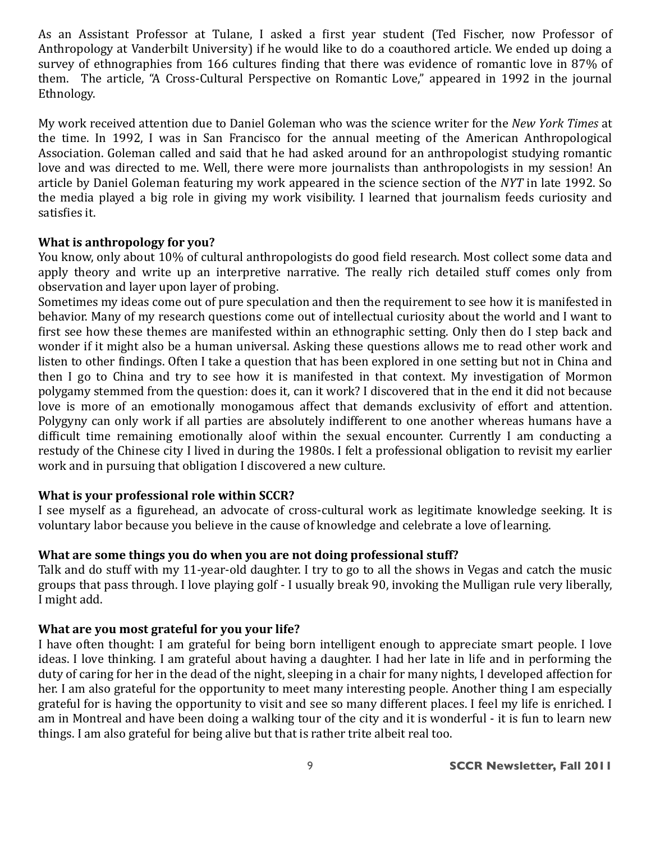As an Assistant Professor at Tulane, I asked a first year student (Ted Fischer, now Professor of Anthropology at Vanderbilt University) if he would like to do a coauthored article. We ended up doing a survey of ethnographies from 166 cultures finding that there was evidence of romantic love in 87% of them. The article, "A Cross-Cultural Perspective on Romantic Love," appeared in 1992 in the journal Ethnology.

My work received attention due to Daniel Goleman who was the science writer for the New York Times at the time. In 1992, I was in San Francisco for the annual meeting of the American Anthropological Association. Goleman called and said that he had asked around for an anthropologist studying romantic love and was directed to me. Well, there were more journalists than anthropologists in my session! An article by Daniel Goleman featuring my work appeared in the science section of the NYT in late 1992. So the media played a big role in giving my work visibility. I learned that journalism feeds curiosity and satisfies it.

#### What is anthropology for you?

You know, only about 10% of cultural anthropologists do good field research. Most collect some data and apply theory and write up an interpretive narrative. The really rich detailed stuff comes only from observation and layer upon layer of probing.

Sometimes my ideas come out of pure speculation and then the requirement to see how it is manifested in behavior. Many of my research questions come out of intellectual curiosity about the world and I want to first see how these themes are manifested within an ethnographic setting. Only then do I step back and wonder if it might also be a human universal. Asking these questions allows me to read other work and listen to other findings. Often I take a question that has been explored in one setting but not in China and then I go to China and try to see how it is manifested in that context. My investigation of Mormon polygamy stemmed from the question: does it, can it work? I discovered that in the end it did not because love is more of an emotionally monogamous affect that demands exclusivity of effort and attention. Polygyny can only work if all parties are absolutely indifferent to one another whereas humans have a difficult time remaining emotionally aloof within the sexual encounter. Currently I am conducting a restudy of the Chinese city I lived in during the 1980s. I felt a professional obligation to revisit my earlier work and in pursuing that obligation I discovered a new culture.

#### What is your professional role within SCCR?

I see myself as a figurehead, an advocate of cross-cultural work as legitimate knowledge seeking. It is voluntary labor because you believe in the cause of knowledge and celebrate a love of learning.

#### What are some things you do when you are not doing professional stuff?

Talk and do stuff with my 11-year-old daughter. I try to go to all the shows in Vegas and catch the music groups that pass through. I love playing golf - I usually break 90, invoking the Mulligan rule very liberally, I might add.

#### What are you most grateful for you your life?

I have often thought: I am grateful for being born intelligent enough to appreciate smart people. I love ideas. I love thinking. I am grateful about having a daughter. I had her late in life and in performing the duty of caring for her in the dead of the night, sleeping in a chair for many nights, I developed affection for her. I am also grateful for the opportunity to meet many interesting people. Another thing I am especially grateful for is having the opportunity to visit and see so many different places. I feel my life is enriched. I am in Montreal and have been doing a walking tour of the city and it is wonderful - it is fun to learn new things. I am also grateful for being alive but that is rather trite albeit real too.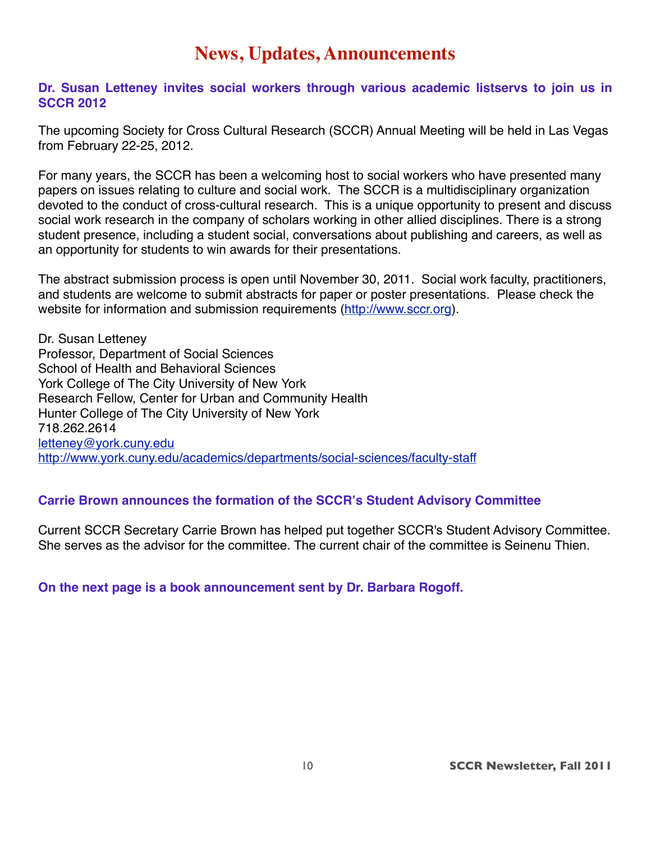## **News, Updates, Announcements**

#### **Dr. Susan Letteney invites social workers through various academic listservs to join us in SCCR 2012**

The upcoming Society for Cross Cultural Research (SCCR) Annual Meeting will be held in Las Vegas from February 22-25, 2012.

For many years, the SCCR has been a welcoming host to social workers who have presented many papers on issues relating to culture and social work. The SCCR is a multidisciplinary organization devoted to the conduct of cross-cultural research. This is a unique opportunity to present and discuss social work research in the company of scholars working in other allied disciplines. There is a strong student presence, including a student social, conversations about publishing and careers, as well as an opportunity for students to win awards for their presentations.

The abstract submission process is open until November 30, 2011. Social work faculty, practitioners, and students are welcome to submit abstracts for paper or poster presentations. Please check the website for information and submission requirements [\(http://www.sccr.org\)](http://www.sccr.org/).

Dr. Susan Letteney Professor, Department of Social Sciences School of Health and Behavioral Sciences York College of The City University of New York Research Fellow, Center for Urban and Community Health Hunter College of The City University of New York 718.262.2614 [letteney@york.cuny.edu](mailto:letteney@york.cuny.edu) <http://www.york.cuny.edu/academics/departments/social-sciences/faculty-staff>

#### **Carrie Brown announces the formation of the SCCR's Student Advisory Committee**

Current SCCR Secretary Carrie Brown has helped put together SCCR's Student Advisory Committee. She serves as the advisor for the committee. The current chair of the committee is Seinenu Thien.

**On the next page is a book announcement sent by Dr. Barbara Rogoff.**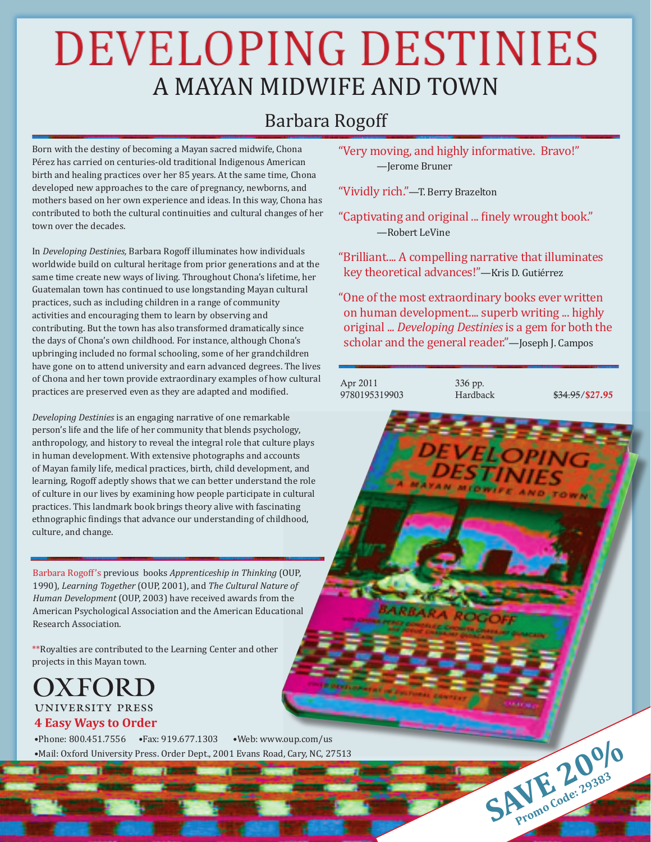## **DEVELOPING DESTINIES** A MAYAN MIDWIFE AND TOWN

## **Barbara Rogoff**

Born with the destiny of becoming a Mayan sacred midwife, Chona Pérez has carried on centuries-old traditional Indigenous American birth and healing practices over her 85 years. At the same time, Chona developed new approaches to the care of pregnancy, newborns, and mothers based on her own experience and ideas. In this way, Chona has contributed to both the cultural continuities and cultural changes of her town over the decades

In Developing Destinies, Barbara Rogoff illuminates how individuals worldwide build on cultural heritage from prior generations and at the same time create new ways of living. Throughout Chona's lifetime, her Guatemalan town has continued to use longstanding Mayan cultural practices, such as including children in a range of community activities and encouraging them to learn by observing and contributing. But the town has also transformed dramatically since the days of Chona's own childhood. For instance, although Chona's upbringing included no formal schooling, some of her grandchildren have gone on to attend university and earn advanced degrees. The lives of Chona and her town provide extraordinary examples of how cultural practices are preserved even as they are adapted and modified.

Developing Destinies is an engaging narrative of one remarkable person's life and the life of her community that blends psychology, anthropology, and history to reveal the integral role that culture plays in human development. With extensive photographs and accounts of Mayan family life, medical practices, birth, child development, and learning, Rogoff adeptly shows that we can better understand the role of culture in our lives by examining how people participate in cultural practices. This landmark book brings theory alive with fascinating ethnographic findings that advance our understanding of childhood, culture, and change.

Barbara Rogoff's previous books Apprenticeship in Thinking (OUP, 1990), Learning Together (OUP, 2001), and The Cultural Nature of Human Development (OUP, 2003) have received awards from the American Psychological Association and the American Educational Research Association.

\*\*Royalties are contributed to the Learning Center and other projects in this Mayan town.

#### OXFORD **UNIVERSITY PRESS 4 Easy Ways to Order**

•Phone: 800.451.7556 •Fax: 919.677.1303 ·Web: www.oup.com/us ·Mail: Oxford University Press. Order Dept., 2001 Evans Road, Cary, NC, 27513

"Very moving, and highly informative. Bravo!" -Ierome Bruner

"Vividly rich."-T. Berry Brazelton

"Captivating and original ... finely wrought book." -Robert LeVine

"Brilliant.... A compelling narrative that illuminates key theoretical advances!"-Kris D. Gutiérrez

"One of the most extraordinary books ever written on human development.... superb writing ... highly original ... Developing Destinies is a gem for both the scholar and the general reader."-Joseph J. Campos



336 pp. Hardback

\$34.95/\$27.95

SAVE 20983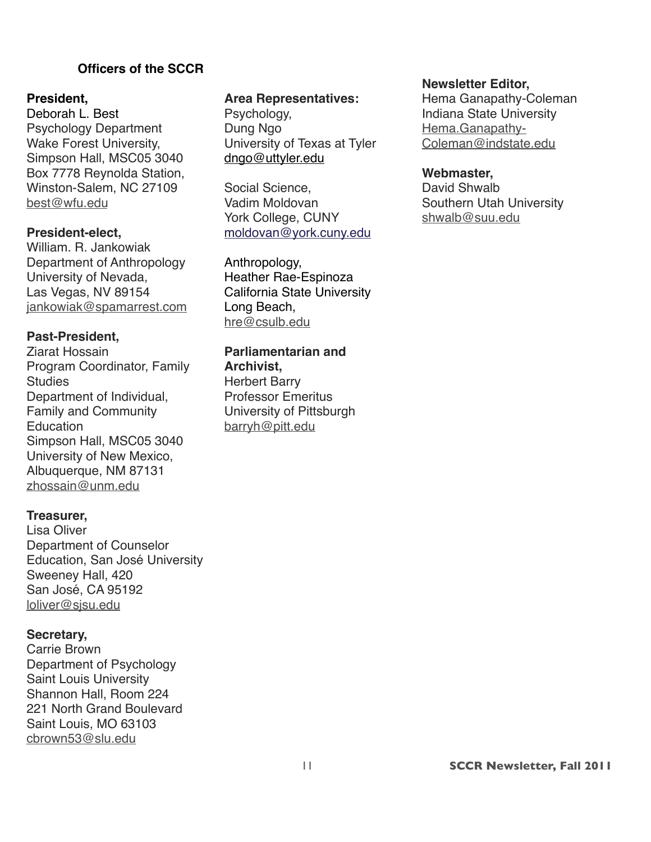#### **))))))))))))))))))Officers of the SCCR**

#### **President,**

Deborah L. Best Psychology Department Wake Forest University, Simpson Hall, MSC05 3040 Box 7778 Reynolda Station, Winston-Salem, NC 27109 [best@wfu.edu](mailto:best@wfu.edu)

#### **President-elect,**

William. R. Jankowiak Department of Anthropology University of Nevada, Las Vegas, NV 89154 [jankowiak@spamarrest.com](mailto:jankowiak@spamarrest.com)

#### **Past-President,**

Ziarat Hossain Program Coordinator, Family **Studies** Department of Individual, Family and Community **Education** Simpson Hall, MSC05 3040 University of New Mexico, Albuquerque, NM 87131 [zhossain@unm.edu](mailto:zhossain@unm.edu)

#### **Treasurer,**

Lisa Oliver Department of Counselor Education, San José University Sweeney Hall, 420 San José, CA 95192 [loliver@sjsu.edu](mailto:loliver@sjsu.edu)

#### **Secretary,**

Carrie Brown Department of Psychology Saint Louis University Shannon Hall, Room 224 221 North Grand Boulevard Saint Louis, MO 63103 [cbrown53@slu.edu](mailto:cbrown53@slu.edu)

#### **Area Representatives:**

Psychology, Dung Ngo University of Texas at Tyler [dngo@uttyler.edu](mailto:dngo@uttyler.edu)

Social Science, Vadim Moldovan York College, CUNY [moldovan@york.cuny.edu](mailto:moldovan@york.cuny.edu)

Anthropology, Heather Rae-Espinoza California State University Long Beach, [hre@csulb.edu](mailto:hre@csulb.edu)

#### **Parliamentarian and Archivist,**

Herbert Barry Professor Emeritus University of Pittsburgh [barryh@pitt.edu](mailto:barryh@pitt.edu)

#### **Newsletter Editor,**

Hema Ganapathy-Coleman Indiana State University [Hema.Ganapathy-](mailto:Hema.Ganapathy-Coleman@indstate.edu)[Coleman@indstate.edu](mailto:Hema.Ganapathy-Coleman@indstate.edu)

#### **Webmaster,**

David Shwalb Southern Utah University [shwalb@suu.edu](mailto:shwalb@suu.edu)